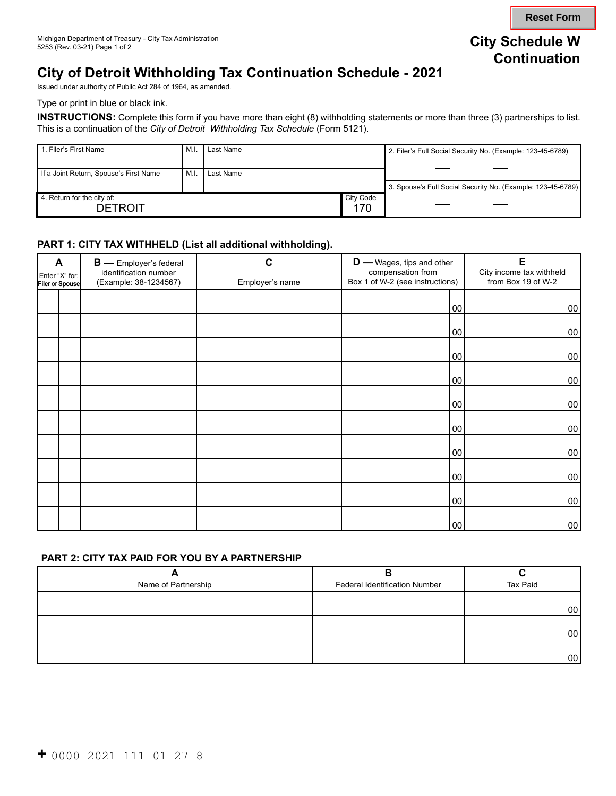**Reset Form**

# **City of Detroit Withholding Tax Continuation Schedule - 2021**

Issued under authority of Public Act 284 of 1964, as amended.

Type or print in blue or black ink.

**INSTRUCTIONS:** Complete this form if you have more than eight (8) withholding statements or more than three (3) partnerships to list. This is a continuation of the *City of Detroit Withholding Tax Schedule* (Form 5121).

| 1. Filer's First Name                        | M.I            | Last Name |                  | 2. Filer's Full Social Security No. (Example: 123-45-6789)  |
|----------------------------------------------|----------------|-----------|------------------|-------------------------------------------------------------|
| If a Joint Return, Spouse's First Name       | M <sub>1</sub> | Last Name |                  |                                                             |
|                                              |                |           |                  | 3. Spouse's Full Social Security No. (Example: 123-45-6789) |
| 4. Return for the city of:<br><b>DETROIT</b> |                |           | City Code<br>170 |                                                             |

#### **PART 1: CITY TAX WITHHELD (List all additional withholding).**

| A<br>Enter "X" for:<br>Filer or Spouse |  | <b>B</b> - Employer's federal<br>identification number<br>(Example: 38-1234567) | С<br>Employer's name | $D$ — Wages, tips and other<br>compensation from<br>Box 1 of W-2 (see instructions) | E<br>City income tax withheld<br>from Box 19 of W-2 |  |
|----------------------------------------|--|---------------------------------------------------------------------------------|----------------------|-------------------------------------------------------------------------------------|-----------------------------------------------------|--|
|                                        |  |                                                                                 |                      | 00                                                                                  | 00                                                  |  |
|                                        |  |                                                                                 |                      | 00                                                                                  | 00                                                  |  |
|                                        |  |                                                                                 |                      | 00                                                                                  | 00                                                  |  |
|                                        |  |                                                                                 |                      | 00                                                                                  | 00                                                  |  |
|                                        |  |                                                                                 |                      | 00                                                                                  | 00                                                  |  |
|                                        |  |                                                                                 |                      | 00                                                                                  | 00                                                  |  |
|                                        |  |                                                                                 |                      | 00                                                                                  | 00                                                  |  |
|                                        |  |                                                                                 |                      | 00                                                                                  | 00                                                  |  |
|                                        |  |                                                                                 |                      | 00                                                                                  | 00                                                  |  |
|                                        |  |                                                                                 |                      | 00                                                                                  | 00                                                  |  |

#### **PART 2: CITY TAX PAID FOR YOU BY A PARTNERSHIP**

| Name of Partnership | <b>Federal Identification Number</b> | Tax Paid |  |
|---------------------|--------------------------------------|----------|--|
|                     |                                      |          |  |
|                     |                                      | '00      |  |
|                     |                                      |          |  |
|                     |                                      | 100 l    |  |
|                     |                                      |          |  |
|                     |                                      | 00       |  |